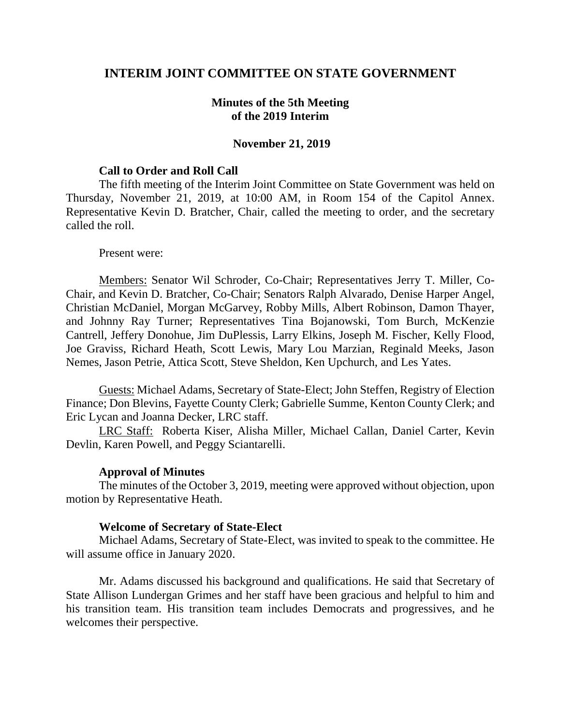### **INTERIM JOINT COMMITTEE ON STATE GOVERNMENT**

### **Minutes of the 5th Meeting of the 2019 Interim**

### **November 21, 2019**

#### **Call to Order and Roll Call**

The fifth meeting of the Interim Joint Committee on State Government was held on Thursday, November 21, 2019, at 10:00 AM, in Room 154 of the Capitol Annex. Representative Kevin D. Bratcher, Chair, called the meeting to order, and the secretary called the roll.

#### Present were:

Members: Senator Wil Schroder, Co-Chair; Representatives Jerry T. Miller, Co-Chair, and Kevin D. Bratcher, Co-Chair; Senators Ralph Alvarado, Denise Harper Angel, Christian McDaniel, Morgan McGarvey, Robby Mills, Albert Robinson, Damon Thayer, and Johnny Ray Turner; Representatives Tina Bojanowski, Tom Burch, McKenzie Cantrell, Jeffery Donohue, Jim DuPlessis, Larry Elkins, Joseph M. Fischer, Kelly Flood, Joe Graviss, Richard Heath, Scott Lewis, Mary Lou Marzian, Reginald Meeks, Jason Nemes, Jason Petrie, Attica Scott, Steve Sheldon, Ken Upchurch, and Les Yates.

Guests: Michael Adams, Secretary of State-Elect; John Steffen, Registry of Election Finance; Don Blevins, Fayette County Clerk; Gabrielle Summe, Kenton County Clerk; and Eric Lycan and Joanna Decker, LRC staff.

LRC Staff: Roberta Kiser, Alisha Miller, Michael Callan, Daniel Carter, Kevin Devlin, Karen Powell, and Peggy Sciantarelli.

#### **Approval of Minutes**

The minutes of the October 3, 2019, meeting were approved without objection, upon motion by Representative Heath.

#### **Welcome of Secretary of State-Elect**

Michael Adams, Secretary of State-Elect, was invited to speak to the committee. He will assume office in January 2020.

Mr. Adams discussed his background and qualifications. He said that Secretary of State Allison Lundergan Grimes and her staff have been gracious and helpful to him and his transition team. His transition team includes Democrats and progressives, and he welcomes their perspective.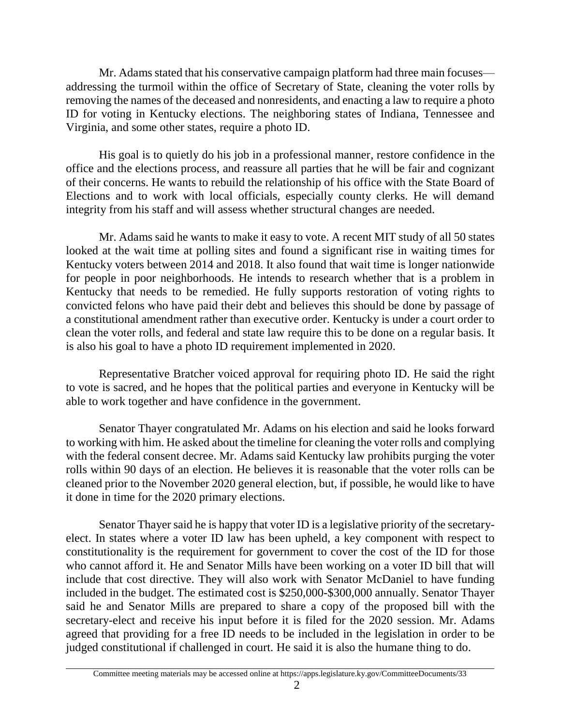Mr. Adams stated that his conservative campaign platform had three main focuses addressing the turmoil within the office of Secretary of State, cleaning the voter rolls by removing the names of the deceased and nonresidents, and enacting a law to require a photo ID for voting in Kentucky elections. The neighboring states of Indiana, Tennessee and Virginia, and some other states, require a photo ID.

His goal is to quietly do his job in a professional manner, restore confidence in the office and the elections process, and reassure all parties that he will be fair and cognizant of their concerns. He wants to rebuild the relationship of his office with the State Board of Elections and to work with local officials, especially county clerks. He will demand integrity from his staff and will assess whether structural changes are needed.

Mr. Adams said he wants to make it easy to vote. A recent MIT study of all 50 states looked at the wait time at polling sites and found a significant rise in waiting times for Kentucky voters between 2014 and 2018. It also found that wait time is longer nationwide for people in poor neighborhoods. He intends to research whether that is a problem in Kentucky that needs to be remedied. He fully supports restoration of voting rights to convicted felons who have paid their debt and believes this should be done by passage of a constitutional amendment rather than executive order. Kentucky is under a court order to clean the voter rolls, and federal and state law require this to be done on a regular basis. It is also his goal to have a photo ID requirement implemented in 2020.

Representative Bratcher voiced approval for requiring photo ID. He said the right to vote is sacred, and he hopes that the political parties and everyone in Kentucky will be able to work together and have confidence in the government.

Senator Thayer congratulated Mr. Adams on his election and said he looks forward to working with him. He asked about the timeline for cleaning the voter rolls and complying with the federal consent decree. Mr. Adams said Kentucky law prohibits purging the voter rolls within 90 days of an election. He believes it is reasonable that the voter rolls can be cleaned prior to the November 2020 general election, but, if possible, he would like to have it done in time for the 2020 primary elections.

Senator Thayer said he is happy that voter ID is a legislative priority of the secretaryelect. In states where a voter ID law has been upheld, a key component with respect to constitutionality is the requirement for government to cover the cost of the ID for those who cannot afford it. He and Senator Mills have been working on a voter ID bill that will include that cost directive. They will also work with Senator McDaniel to have funding included in the budget. The estimated cost is \$250,000-\$300,000 annually. Senator Thayer said he and Senator Mills are prepared to share a copy of the proposed bill with the secretary-elect and receive his input before it is filed for the 2020 session. Mr. Adams agreed that providing for a free ID needs to be included in the legislation in order to be judged constitutional if challenged in court. He said it is also the humane thing to do.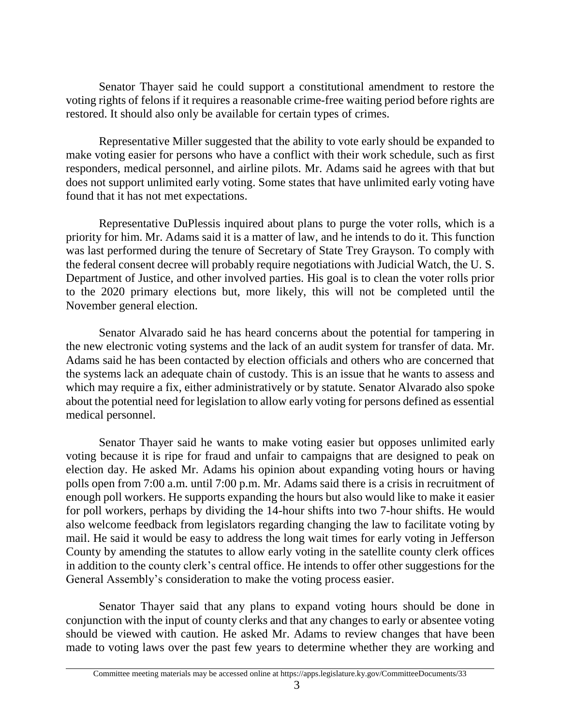Senator Thayer said he could support a constitutional amendment to restore the voting rights of felons if it requires a reasonable crime-free waiting period before rights are restored. It should also only be available for certain types of crimes.

Representative Miller suggested that the ability to vote early should be expanded to make voting easier for persons who have a conflict with their work schedule, such as first responders, medical personnel, and airline pilots. Mr. Adams said he agrees with that but does not support unlimited early voting. Some states that have unlimited early voting have found that it has not met expectations.

Representative DuPlessis inquired about plans to purge the voter rolls, which is a priority for him. Mr. Adams said it is a matter of law, and he intends to do it. This function was last performed during the tenure of Secretary of State Trey Grayson. To comply with the federal consent decree will probably require negotiations with Judicial Watch, the U. S. Department of Justice, and other involved parties. His goal is to clean the voter rolls prior to the 2020 primary elections but, more likely, this will not be completed until the November general election.

Senator Alvarado said he has heard concerns about the potential for tampering in the new electronic voting systems and the lack of an audit system for transfer of data. Mr. Adams said he has been contacted by election officials and others who are concerned that the systems lack an adequate chain of custody. This is an issue that he wants to assess and which may require a fix, either administratively or by statute. Senator Alvarado also spoke about the potential need for legislation to allow early voting for persons defined as essential medical personnel.

Senator Thayer said he wants to make voting easier but opposes unlimited early voting because it is ripe for fraud and unfair to campaigns that are designed to peak on election day. He asked Mr. Adams his opinion about expanding voting hours or having polls open from 7:00 a.m. until 7:00 p.m. Mr. Adams said there is a crisis in recruitment of enough poll workers. He supports expanding the hours but also would like to make it easier for poll workers, perhaps by dividing the 14-hour shifts into two 7-hour shifts. He would also welcome feedback from legislators regarding changing the law to facilitate voting by mail. He said it would be easy to address the long wait times for early voting in Jefferson County by amending the statutes to allow early voting in the satellite county clerk offices in addition to the county clerk's central office. He intends to offer other suggestions for the General Assembly's consideration to make the voting process easier.

Senator Thayer said that any plans to expand voting hours should be done in conjunction with the input of county clerks and that any changes to early or absentee voting should be viewed with caution. He asked Mr. Adams to review changes that have been made to voting laws over the past few years to determine whether they are working and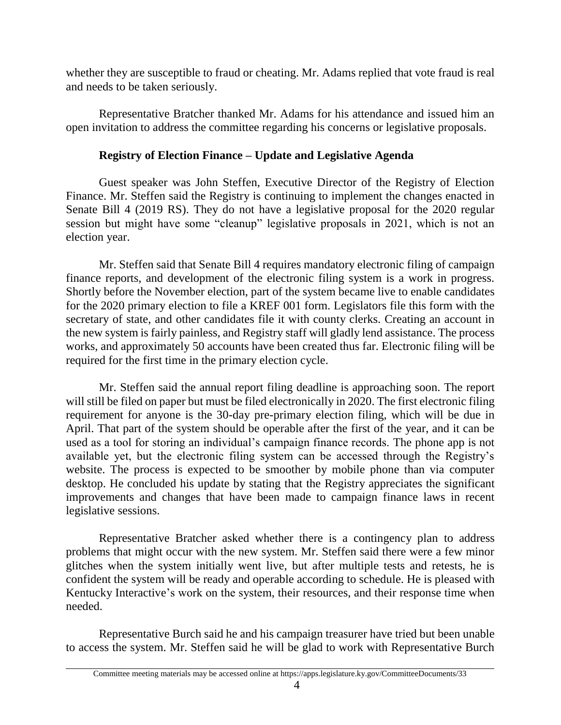whether they are susceptible to fraud or cheating. Mr. Adams replied that vote fraud is real and needs to be taken seriously.

Representative Bratcher thanked Mr. Adams for his attendance and issued him an open invitation to address the committee regarding his concerns or legislative proposals.

### **Registry of Election Finance – Update and Legislative Agenda**

Guest speaker was John Steffen, Executive Director of the Registry of Election Finance. Mr. Steffen said the Registry is continuing to implement the changes enacted in Senate Bill 4 (2019 RS). They do not have a legislative proposal for the 2020 regular session but might have some "cleanup" legislative proposals in 2021, which is not an election year.

Mr. Steffen said that Senate Bill 4 requires mandatory electronic filing of campaign finance reports, and development of the electronic filing system is a work in progress. Shortly before the November election, part of the system became live to enable candidates for the 2020 primary election to file a KREF 001 form. Legislators file this form with the secretary of state, and other candidates file it with county clerks. Creating an account in the new system is fairly painless, and Registry staff will gladly lend assistance. The process works, and approximately 50 accounts have been created thus far. Electronic filing will be required for the first time in the primary election cycle.

Mr. Steffen said the annual report filing deadline is approaching soon. The report will still be filed on paper but must be filed electronically in 2020. The first electronic filing requirement for anyone is the 30-day pre-primary election filing, which will be due in April. That part of the system should be operable after the first of the year, and it can be used as a tool for storing an individual's campaign finance records. The phone app is not available yet, but the electronic filing system can be accessed through the Registry's website. The process is expected to be smoother by mobile phone than via computer desktop. He concluded his update by stating that the Registry appreciates the significant improvements and changes that have been made to campaign finance laws in recent legislative sessions.

Representative Bratcher asked whether there is a contingency plan to address problems that might occur with the new system. Mr. Steffen said there were a few minor glitches when the system initially went live, but after multiple tests and retests, he is confident the system will be ready and operable according to schedule. He is pleased with Kentucky Interactive's work on the system, their resources, and their response time when needed.

Representative Burch said he and his campaign treasurer have tried but been unable to access the system. Mr. Steffen said he will be glad to work with Representative Burch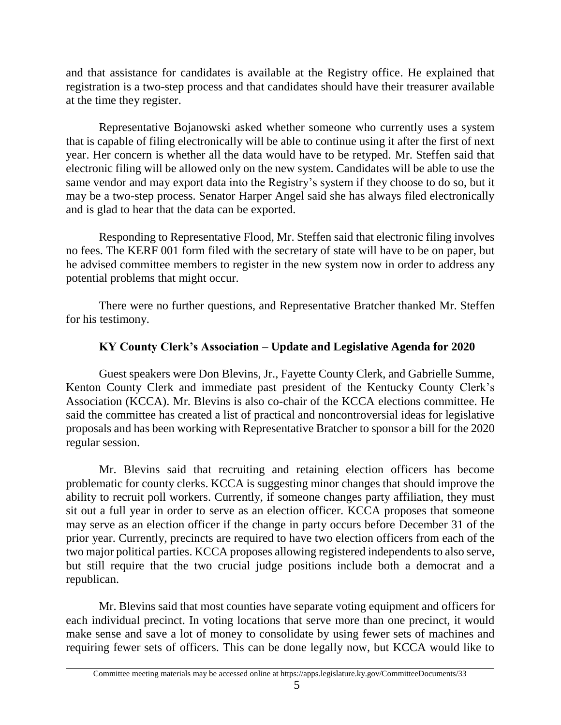and that assistance for candidates is available at the Registry office. He explained that registration is a two-step process and that candidates should have their treasurer available at the time they register.

Representative Bojanowski asked whether someone who currently uses a system that is capable of filing electronically will be able to continue using it after the first of next year. Her concern is whether all the data would have to be retyped. Mr. Steffen said that electronic filing will be allowed only on the new system. Candidates will be able to use the same vendor and may export data into the Registry's system if they choose to do so, but it may be a two-step process. Senator Harper Angel said she has always filed electronically and is glad to hear that the data can be exported.

Responding to Representative Flood, Mr. Steffen said that electronic filing involves no fees. The KERF 001 form filed with the secretary of state will have to be on paper, but he advised committee members to register in the new system now in order to address any potential problems that might occur.

There were no further questions, and Representative Bratcher thanked Mr. Steffen for his testimony.

# **KY County Clerk's Association – Update and Legislative Agenda for 2020**

Guest speakers were Don Blevins, Jr., Fayette County Clerk, and Gabrielle Summe, Kenton County Clerk and immediate past president of the Kentucky County Clerk's Association (KCCA). Mr. Blevins is also co-chair of the KCCA elections committee. He said the committee has created a list of practical and noncontroversial ideas for legislative proposals and has been working with Representative Bratcher to sponsor a bill for the 2020 regular session.

Mr. Blevins said that recruiting and retaining election officers has become problematic for county clerks. KCCA is suggesting minor changes that should improve the ability to recruit poll workers. Currently, if someone changes party affiliation, they must sit out a full year in order to serve as an election officer. KCCA proposes that someone may serve as an election officer if the change in party occurs before December 31 of the prior year. Currently, precincts are required to have two election officers from each of the two major political parties. KCCA proposes allowing registered independents to also serve, but still require that the two crucial judge positions include both a democrat and a republican.

Mr. Blevins said that most counties have separate voting equipment and officers for each individual precinct. In voting locations that serve more than one precinct, it would make sense and save a lot of money to consolidate by using fewer sets of machines and requiring fewer sets of officers. This can be done legally now, but KCCA would like to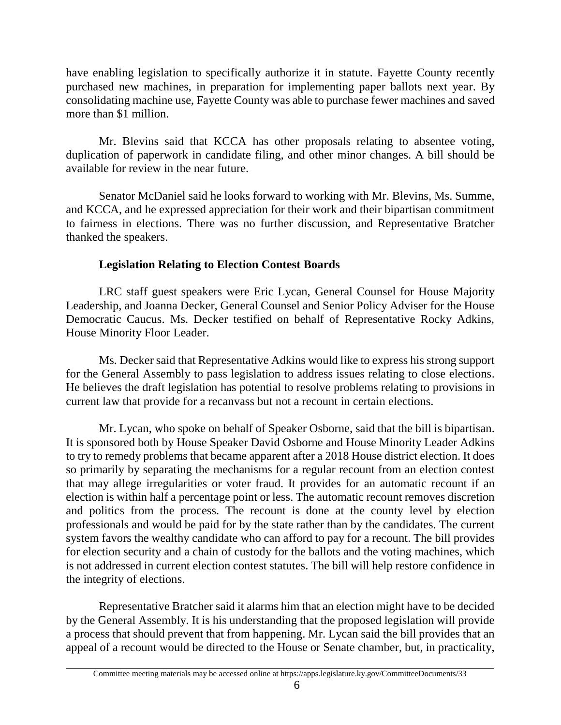have enabling legislation to specifically authorize it in statute. Fayette County recently purchased new machines, in preparation for implementing paper ballots next year. By consolidating machine use, Fayette County was able to purchase fewer machines and saved more than \$1 million.

Mr. Blevins said that KCCA has other proposals relating to absentee voting, duplication of paperwork in candidate filing, and other minor changes. A bill should be available for review in the near future.

Senator McDaniel said he looks forward to working with Mr. Blevins, Ms. Summe, and KCCA, and he expressed appreciation for their work and their bipartisan commitment to fairness in elections. There was no further discussion, and Representative Bratcher thanked the speakers.

# **Legislation Relating to Election Contest Boards**

LRC staff guest speakers were Eric Lycan, General Counsel for House Majority Leadership, and Joanna Decker, General Counsel and Senior Policy Adviser for the House Democratic Caucus. Ms. Decker testified on behalf of Representative Rocky Adkins, House Minority Floor Leader.

Ms. Decker said that Representative Adkins would like to express his strong support for the General Assembly to pass legislation to address issues relating to close elections. He believes the draft legislation has potential to resolve problems relating to provisions in current law that provide for a recanvass but not a recount in certain elections.

Mr. Lycan, who spoke on behalf of Speaker Osborne, said that the bill is bipartisan. It is sponsored both by House Speaker David Osborne and House Minority Leader Adkins to try to remedy problems that became apparent after a 2018 House district election. It does so primarily by separating the mechanisms for a regular recount from an election contest that may allege irregularities or voter fraud. It provides for an automatic recount if an election is within half a percentage point or less. The automatic recount removes discretion and politics from the process. The recount is done at the county level by election professionals and would be paid for by the state rather than by the candidates. The current system favors the wealthy candidate who can afford to pay for a recount. The bill provides for election security and a chain of custody for the ballots and the voting machines, which is not addressed in current election contest statutes. The bill will help restore confidence in the integrity of elections.

Representative Bratcher said it alarms him that an election might have to be decided by the General Assembly. It is his understanding that the proposed legislation will provide a process that should prevent that from happening. Mr. Lycan said the bill provides that an appeal of a recount would be directed to the House or Senate chamber, but, in practicality,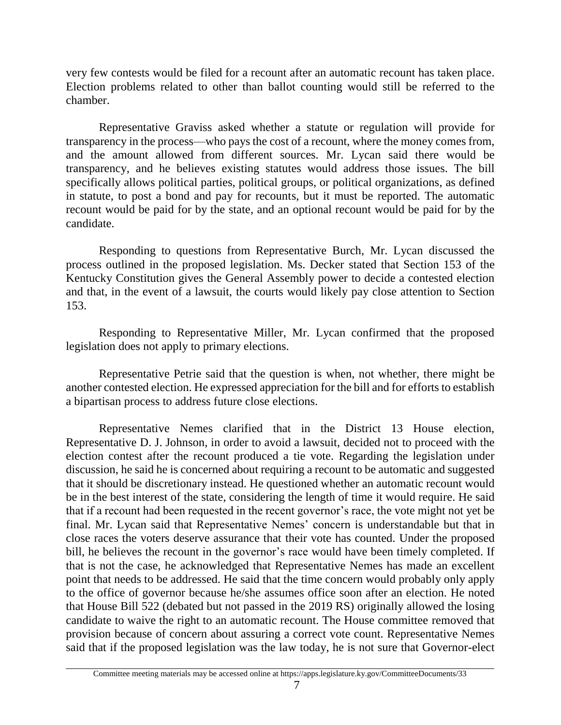very few contests would be filed for a recount after an automatic recount has taken place. Election problems related to other than ballot counting would still be referred to the chamber.

Representative Graviss asked whether a statute or regulation will provide for transparency in the process—who pays the cost of a recount, where the money comes from, and the amount allowed from different sources. Mr. Lycan said there would be transparency, and he believes existing statutes would address those issues. The bill specifically allows political parties, political groups, or political organizations, as defined in statute, to post a bond and pay for recounts, but it must be reported. The automatic recount would be paid for by the state, and an optional recount would be paid for by the candidate.

Responding to questions from Representative Burch, Mr. Lycan discussed the process outlined in the proposed legislation. Ms. Decker stated that Section 153 of the Kentucky Constitution gives the General Assembly power to decide a contested election and that, in the event of a lawsuit, the courts would likely pay close attention to Section 153.

Responding to Representative Miller, Mr. Lycan confirmed that the proposed legislation does not apply to primary elections.

Representative Petrie said that the question is when, not whether, there might be another contested election. He expressed appreciation for the bill and for efforts to establish a bipartisan process to address future close elections.

Representative Nemes clarified that in the District 13 House election, Representative D. J. Johnson, in order to avoid a lawsuit, decided not to proceed with the election contest after the recount produced a tie vote. Regarding the legislation under discussion, he said he is concerned about requiring a recount to be automatic and suggested that it should be discretionary instead. He questioned whether an automatic recount would be in the best interest of the state, considering the length of time it would require. He said that if a recount had been requested in the recent governor's race, the vote might not yet be final. Mr. Lycan said that Representative Nemes' concern is understandable but that in close races the voters deserve assurance that their vote has counted. Under the proposed bill, he believes the recount in the governor's race would have been timely completed. If that is not the case, he acknowledged that Representative Nemes has made an excellent point that needs to be addressed. He said that the time concern would probably only apply to the office of governor because he/she assumes office soon after an election. He noted that House Bill 522 (debated but not passed in the 2019 RS) originally allowed the losing candidate to waive the right to an automatic recount. The House committee removed that provision because of concern about assuring a correct vote count. Representative Nemes said that if the proposed legislation was the law today, he is not sure that Governor-elect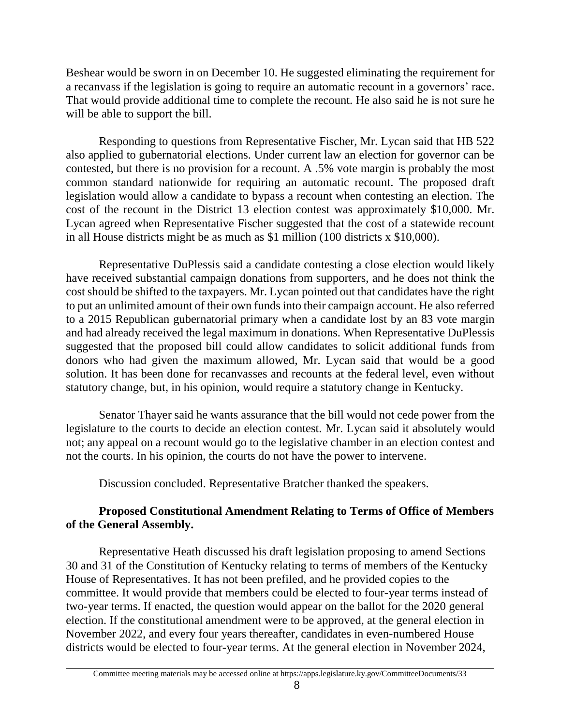Beshear would be sworn in on December 10. He suggested eliminating the requirement for a recanvass if the legislation is going to require an automatic recount in a governors' race. That would provide additional time to complete the recount. He also said he is not sure he will be able to support the bill.

Responding to questions from Representative Fischer, Mr. Lycan said that HB 522 also applied to gubernatorial elections. Under current law an election for governor can be contested, but there is no provision for a recount. A .5% vote margin is probably the most common standard nationwide for requiring an automatic recount. The proposed draft legislation would allow a candidate to bypass a recount when contesting an election. The cost of the recount in the District 13 election contest was approximately \$10,000. Mr. Lycan agreed when Representative Fischer suggested that the cost of a statewide recount in all House districts might be as much as \$1 million (100 districts x \$10,000).

Representative DuPlessis said a candidate contesting a close election would likely have received substantial campaign donations from supporters, and he does not think the cost should be shifted to the taxpayers. Mr. Lycan pointed out that candidates have the right to put an unlimited amount of their own funds into their campaign account. He also referred to a 2015 Republican gubernatorial primary when a candidate lost by an 83 vote margin and had already received the legal maximum in donations. When Representative DuPlessis suggested that the proposed bill could allow candidates to solicit additional funds from donors who had given the maximum allowed, Mr. Lycan said that would be a good solution. It has been done for recanvasses and recounts at the federal level, even without statutory change, but, in his opinion, would require a statutory change in Kentucky.

Senator Thayer said he wants assurance that the bill would not cede power from the legislature to the courts to decide an election contest. Mr. Lycan said it absolutely would not; any appeal on a recount would go to the legislative chamber in an election contest and not the courts. In his opinion, the courts do not have the power to intervene.

Discussion concluded. Representative Bratcher thanked the speakers.

# **Proposed Constitutional Amendment Relating to Terms of Office of Members of the General Assembly.**

Representative Heath discussed his draft legislation proposing to amend Sections 30 and 31 of the Constitution of Kentucky relating to terms of members of the Kentucky House of Representatives. It has not been prefiled, and he provided copies to the committee. It would provide that members could be elected to four-year terms instead of two-year terms. If enacted, the question would appear on the ballot for the 2020 general election. If the constitutional amendment were to be approved, at the general election in November 2022, and every four years thereafter, candidates in even-numbered House districts would be elected to four-year terms. At the general election in November 2024,